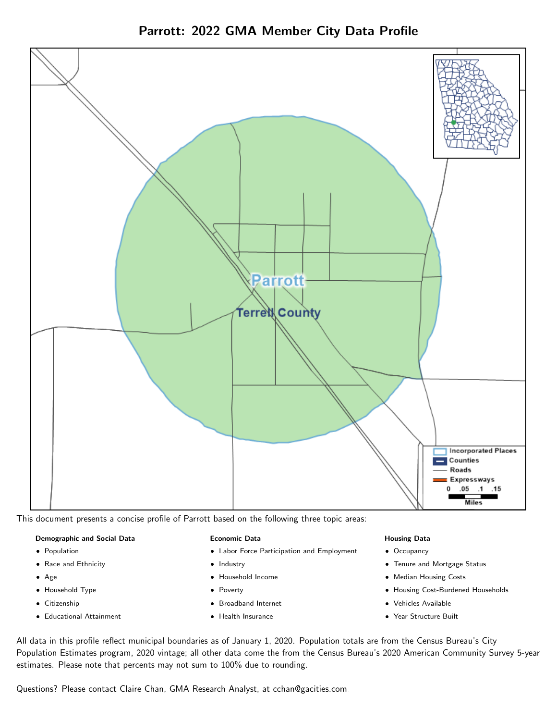



This document presents a concise profile of Parrott based on the following three topic areas:

#### Demographic and Social Data

- **•** Population
- Race and Ethnicity
- Age
- Household Type
- **Citizenship**
- Educational Attainment

#### Economic Data

- Labor Force Participation and Employment
- Industry
- Household Income
- Poverty
- Broadband Internet
- Health Insurance

#### Housing Data

- Occupancy
- Tenure and Mortgage Status
- Median Housing Costs
- Housing Cost-Burdened Households
- Vehicles Available
- Year Structure Built

All data in this profile reflect municipal boundaries as of January 1, 2020. Population totals are from the Census Bureau's City Population Estimates program, 2020 vintage; all other data come the from the Census Bureau's 2020 American Community Survey 5-year estimates. Please note that percents may not sum to 100% due to rounding.

Questions? Please contact Claire Chan, GMA Research Analyst, at [cchan@gacities.com.](mailto:cchan@gacities.com)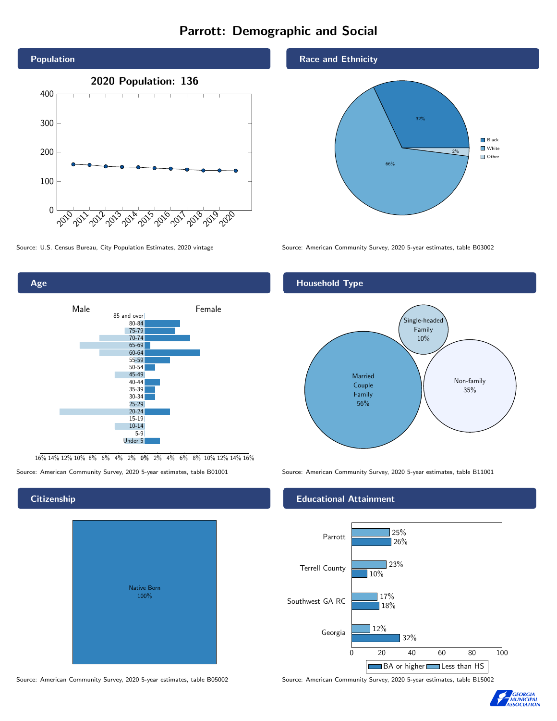### Parrott: Demographic and Social





16% 14% 12% 10% 8% 6% 4% 2% 0% 2% 4% 6% 8% 10% 12% 14% 16%

Source: American Community Survey, 2020 5-year estimates, table B01001 Source: American Community Survey, 2020 5-year estimates, table B11001

**Citizenship** 

# Native Born 100%

Race and Ethnicity



Source: U.S. Census Bureau, City Population Estimates, 2020 vintage Source: American Community Survey, 2020 5-year estimates, table B03002



Family 56%

#### Educational Attainment



Source: American Community Survey, 2020 5-year estimates, table B05002 Source: American Community Survey, 2020 5-year estimates, table B15002

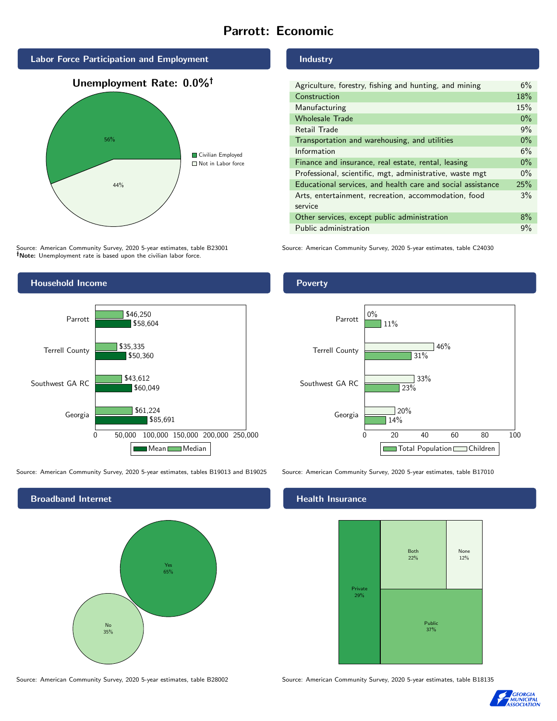#### Parrott: Economic



Source: American Community Survey, 2020 5-year estimates, table B23001 Note: Unemployment rate is based upon the civilian labor force.



Source: American Community Survey, 2020 5-year estimates, tables B19013 and B19025 Source: American Community Survey, 2020 5-year estimates, table B17010

Broadband Internet No 35% Yes 65%

Source: American Community Survey, 2020 5-year estimates, table B28002 Source: American Community Survey, 2020 5-year estimates, table B18135

Industry

| Agriculture, forestry, fishing and hunting, and mining      | 6%    |
|-------------------------------------------------------------|-------|
| Construction                                                | 18%   |
| Manufacturing                                               | 15%   |
| <b>Wholesale Trade</b>                                      | $0\%$ |
| Retail Trade                                                | 9%    |
| Transportation and warehousing, and utilities               | $0\%$ |
| Information                                                 | 6%    |
| Finance and insurance, real estate, rental, leasing         | $0\%$ |
| Professional, scientific, mgt, administrative, waste mgt    | $0\%$ |
| Educational services, and health care and social assistance | 25%   |
| Arts, entertainment, recreation, accommodation, food        | 3%    |
| service                                                     |       |
| Other services, except public administration                | $8\%$ |
| Public administration                                       | 9%    |

Source: American Community Survey, 2020 5-year estimates, table C24030

#### Poverty



#### **Health Insurance**